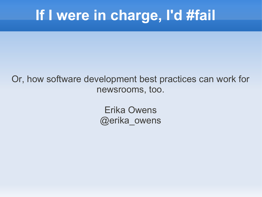## **If I were in charge, I'd #fail**

#### Or, how software development best practices can work for newsrooms, too.

Erika Owens @erika\_owens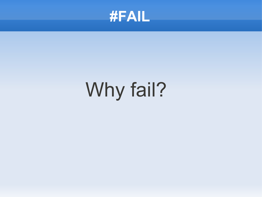

# Why fail?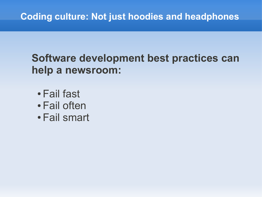#### **Software development best practices can help a newsroom:**

- Fail fast
- Fail often
- Fail smart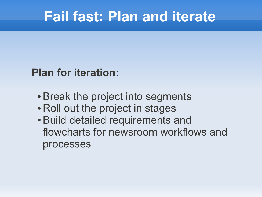#### **Fail fast: Plan and iterate**

#### **Plan for iteration:**

- Break the project into segments
- Roll out the project in stages
- Build detailed requirements and flowcharts for newsroom workflows and processes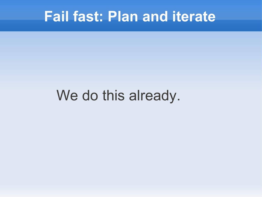#### **Fail fast: Plan and iterate**

#### We do this already.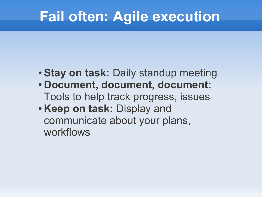## **Fail often: Agile execution**

- **Stay on task:** Daily standup meeting
- **Document, document, document:** Tools to help track progress, issues
- **Keep on task: Display and** communicate about your plans, workflows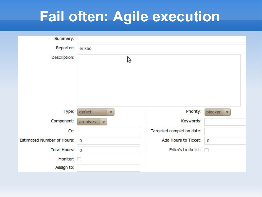## **Fail often: Agile execution**

| Summary:                          |                                   |                           |                            |
|-----------------------------------|-----------------------------------|---------------------------|----------------------------|
| Reporter:                         | erikao                            |                           |                            |
| Description:                      | ピ                                 |                           |                            |
| Type:                             | defect<br>$\boldsymbol{\nabla}$   | Priority:                 | blocker<br>$\triangledown$ |
| Component:                        | archives<br>$\boldsymbol{\nabla}$ | Keywords:                 |                            |
| Cc:                               |                                   | Targeted completion date: |                            |
| <b>Estimated Number of Hours:</b> | $\mathbf{0}$                      | Add Hours to Ticket: 0    |                            |
| <b>Total Hours:</b>               | $\mathbf{0}$                      | Erika's to do list:       |                            |
| Monitor:                          |                                   |                           |                            |
| Assign to:                        |                                   |                           |                            |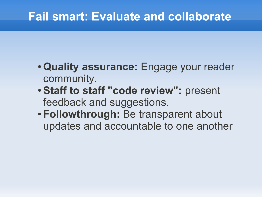#### **Fail smart: Evaluate and collaborate**

- **Quality assurance:** Engage your reader community.
- **Staff to staff "code review":** present feedback and suggestions.
- **Followthrough:** Be transparent about updates and accountable to one another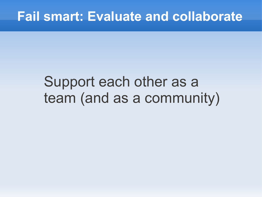## Support each other as a team (and as a community)